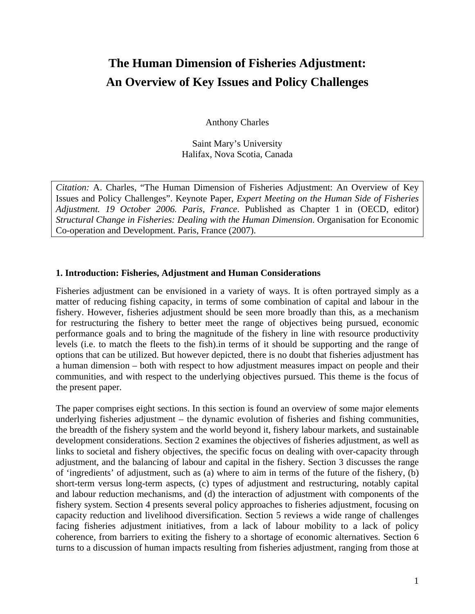# **The Human Dimension of Fisheries Adjustment: An Overview of Key Issues and Policy Challenges**

Anthony Charles

Saint Mary's University Halifax, Nova Scotia, Canada

*Citation:* A. Charles, "The Human Dimension of Fisheries Adjustment: An Overview of Key Issues and Policy Challenges". Keynote Paper, *Expert Meeting on the Human Side of Fisheries Adjustment. 19 October 2006. Paris, France*. Published as Chapter 1 in (OECD, editor) *Structural Change in Fisheries: Dealing with the Human Dimension*. Organisation for Economic Co-operation and Development. Paris, France (2007).

#### **1. Introduction: Fisheries, Adjustment and Human Considerations**

Fisheries adjustment can be envisioned in a variety of ways. It is often portrayed simply as a matter of reducing fishing capacity, in terms of some combination of capital and labour in the fishery. However, fisheries adjustment should be seen more broadly than this, as a mechanism for restructuring the fishery to better meet the range of objectives being pursued, economic performance goals and to bring the magnitude of the fishery in line with resource productivity levels (i.e. to match the fleets to the fish).in terms of it should be supporting and the range of options that can be utilized. But however depicted, there is no doubt that fisheries adjustment has a human dimension – both with respect to how adjustment measures impact on people and their communities, and with respect to the underlying objectives pursued. This theme is the focus of the present paper.

The paper comprises eight sections. In this section is found an overview of some major elements underlying fisheries adjustment – the dynamic evolution of fisheries and fishing communities, the breadth of the fishery system and the world beyond it, fishery labour markets, and sustainable development considerations. Section 2 examines the objectives of fisheries adjustment, as well as links to societal and fishery objectives, the specific focus on dealing with over-capacity through adjustment, and the balancing of labour and capital in the fishery. Section 3 discusses the range of 'ingredients' of adjustment, such as (a) where to aim in terms of the future of the fishery, (b) short-term versus long-term aspects, (c) types of adjustment and restructuring, notably capital and labour reduction mechanisms, and (d) the interaction of adjustment with components of the fishery system. Section 4 presents several policy approaches to fisheries adjustment, focusing on capacity reduction and livelihood diversification. Section 5 reviews a wide range of challenges facing fisheries adjustment initiatives, from a lack of labour mobility to a lack of policy coherence, from barriers to exiting the fishery to a shortage of economic alternatives. Section 6 turns to a discussion of human impacts resulting from fisheries adjustment, ranging from those at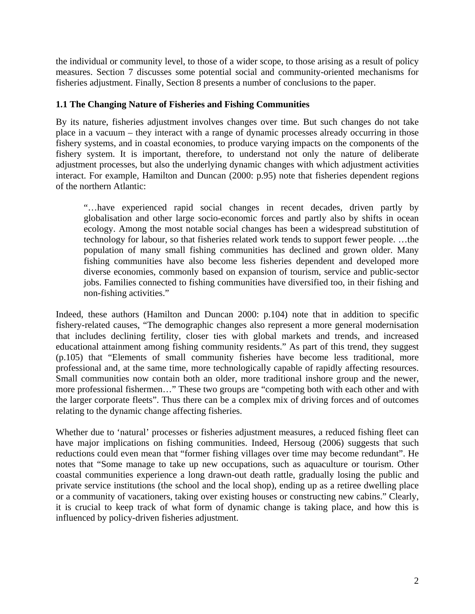the individual or community level, to those of a wider scope, to those arising as a result of policy measures. Section 7 discusses some potential social and community-oriented mechanisms for fisheries adjustment. Finally, Section 8 presents a number of conclusions to the paper.

# **1.1 The Changing Nature of Fisheries and Fishing Communities**

By its nature, fisheries adjustment involves changes over time. But such changes do not take place in a vacuum – they interact with a range of dynamic processes already occurring in those fishery systems, and in coastal economies, to produce varying impacts on the components of the fishery system. It is important, therefore, to understand not only the nature of deliberate adjustment processes, but also the underlying dynamic changes with which adjustment activities interact. For example, Hamilton and Duncan (2000: p.95) note that fisheries dependent regions of the northern Atlantic:

"…have experienced rapid social changes in recent decades, driven partly by globalisation and other large socio-economic forces and partly also by shifts in ocean ecology. Among the most notable social changes has been a widespread substitution of technology for labour, so that fisheries related work tends to support fewer people. …the population of many small fishing communities has declined and grown older. Many fishing communities have also become less fisheries dependent and developed more diverse economies, commonly based on expansion of tourism, service and public-sector jobs. Families connected to fishing communities have diversified too, in their fishing and non-fishing activities."

Indeed, these authors (Hamilton and Duncan 2000: p.104) note that in addition to specific fishery-related causes, "The demographic changes also represent a more general modernisation that includes declining fertility, closer ties with global markets and trends, and increased educational attainment among fishing community residents." As part of this trend, they suggest (p.105) that "Elements of small community fisheries have become less traditional, more professional and, at the same time, more technologically capable of rapidly affecting resources. Small communities now contain both an older, more traditional inshore group and the newer, more professional fishermen…" These two groups are "competing both with each other and with the larger corporate fleets". Thus there can be a complex mix of driving forces and of outcomes relating to the dynamic change affecting fisheries.

Whether due to 'natural' processes or fisheries adjustment measures, a reduced fishing fleet can have major implications on fishing communities. Indeed, Hersoug (2006) suggests that such reductions could even mean that "former fishing villages over time may become redundant". He notes that "Some manage to take up new occupations, such as aquaculture or tourism. Other coastal communities experience a long drawn-out death rattle, gradually losing the public and private service institutions (the school and the local shop), ending up as a retiree dwelling place or a community of vacationers, taking over existing houses or constructing new cabins." Clearly, it is crucial to keep track of what form of dynamic change is taking place, and how this is influenced by policy-driven fisheries adjustment.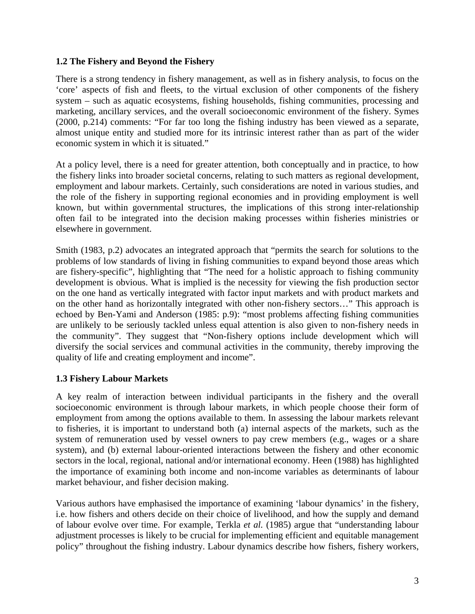## **1.2 The Fishery and Beyond the Fishery**

There is a strong tendency in fishery management, as well as in fishery analysis, to focus on the 'core' aspects of fish and fleets, to the virtual exclusion of other components of the fishery system – such as aquatic ecosystems, fishing households, fishing communities, processing and marketing, ancillary services, and the overall socioeconomic environment of the fishery. Symes (2000, p.214) comments: "For far too long the fishing industry has been viewed as a separate, almost unique entity and studied more for its intrinsic interest rather than as part of the wider economic system in which it is situated."

At a policy level, there is a need for greater attention, both conceptually and in practice, to how the fishery links into broader societal concerns, relating to such matters as regional development, employment and labour markets. Certainly, such considerations are noted in various studies, and the role of the fishery in supporting regional economies and in providing employment is well known, but within governmental structures, the implications of this strong inter-relationship often fail to be integrated into the decision making processes within fisheries ministries or elsewhere in government.

Smith (1983, p.2) advocates an integrated approach that "permits the search for solutions to the problems of low standards of living in fishing communities to expand beyond those areas which are fishery-specific", highlighting that "The need for a holistic approach to fishing community development is obvious. What is implied is the necessity for viewing the fish production sector on the one hand as vertically integrated with factor input markets and with product markets and on the other hand as horizontally integrated with other non-fishery sectors…" This approach is echoed by Ben-Yami and Anderson (1985: p.9): "most problems affecting fishing communities are unlikely to be seriously tackled unless equal attention is also given to non-fishery needs in the community". They suggest that "Non-fishery options include development which will diversify the social services and communal activities in the community, thereby improving the quality of life and creating employment and income".

## **1.3 Fishery Labour Markets**

A key realm of interaction between individual participants in the fishery and the overall socioeconomic environment is through labour markets, in which people choose their form of employment from among the options available to them. In assessing the labour markets relevant to fisheries, it is important to understand both (a) internal aspects of the markets, such as the system of remuneration used by vessel owners to pay crew members (e.g., wages or a share system), and (b) external labour-oriented interactions between the fishery and other economic sectors in the local, regional, national and/or international economy. Heen (1988) has highlighted the importance of examining both income and non-income variables as determinants of labour market behaviour, and fisher decision making.

Various authors have emphasised the importance of examining 'labour dynamics' in the fishery, i.e. how fishers and others decide on their choice of livelihood, and how the supply and demand of labour evolve over time. For example, Terkla *et al.* (1985) argue that "understanding labour adjustment processes is likely to be crucial for implementing efficient and equitable management policy" throughout the fishing industry. Labour dynamics describe how fishers, fishery workers,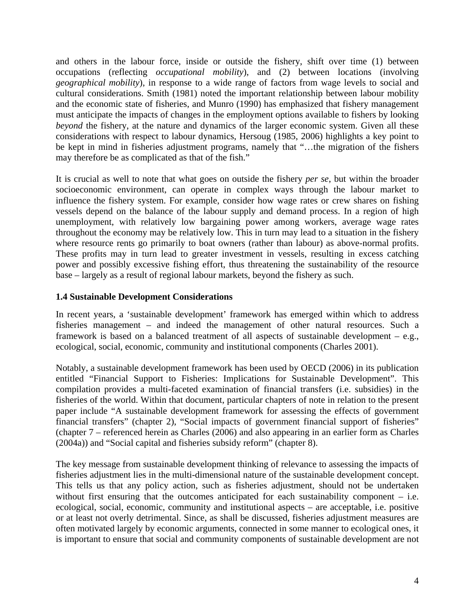and others in the labour force, inside or outside the fishery, shift over time (1) between occupations (reflecting *occupational mobility*), and (2) between locations (involving *geographical mobility*), in response to a wide range of factors from wage levels to social and cultural considerations. Smith (1981) noted the important relationship between labour mobility and the economic state of fisheries, and Munro (1990) has emphasized that fishery management must anticipate the impacts of changes in the employment options available to fishers by looking *beyond* the fishery, at the nature and dynamics of the larger economic system. Given all these considerations with respect to labour dynamics, Hersoug (1985, 2006) highlights a key point to be kept in mind in fisheries adjustment programs, namely that "…the migration of the fishers may therefore be as complicated as that of the fish."

It is crucial as well to note that what goes on outside the fishery *per se*, but within the broader socioeconomic environment, can operate in complex ways through the labour market to influence the fishery system. For example, consider how wage rates or crew shares on fishing vessels depend on the balance of the labour supply and demand process. In a region of high unemployment, with relatively low bargaining power among workers, average wage rates throughout the economy may be relatively low. This in turn may lead to a situation in the fishery where resource rents go primarily to boat owners (rather than labour) as above-normal profits. These profits may in turn lead to greater investment in vessels, resulting in excess catching power and possibly excessive fishing effort, thus threatening the sustainability of the resource base – largely as a result of regional labour markets, beyond the fishery as such.

#### **1.4 Sustainable Development Considerations**

In recent years, a 'sustainable development' framework has emerged within which to address fisheries management – and indeed the management of other natural resources. Such a framework is based on a balanced treatment of all aspects of sustainable development – e.g., ecological, social, economic, community and institutional components (Charles 2001).

Notably, a sustainable development framework has been used by OECD (2006) in its publication entitled "Financial Support to Fisheries: Implications for Sustainable Development". This compilation provides a multi-faceted examination of financial transfers (i.e. subsidies) in the fisheries of the world. Within that document, particular chapters of note in relation to the present paper include "A sustainable development framework for assessing the effects of government financial transfers" (chapter 2), "Social impacts of government financial support of fisheries" (chapter 7 – referenced herein as Charles (2006) and also appearing in an earlier form as Charles (2004a)) and "Social capital and fisheries subsidy reform" (chapter 8).

The key message from sustainable development thinking of relevance to assessing the impacts of fisheries adjustment lies in the multi-dimensional nature of the sustainable development concept. This tells us that any policy action, such as fisheries adjustment, should not be undertaken without first ensuring that the outcomes anticipated for each sustainability component – i.e. ecological, social, economic, community and institutional aspects – are acceptable, i.e. positive or at least not overly detrimental. Since, as shall be discussed, fisheries adjustment measures are often motivated largely by economic arguments, connected in some manner to ecological ones, it is important to ensure that social and community components of sustainable development are not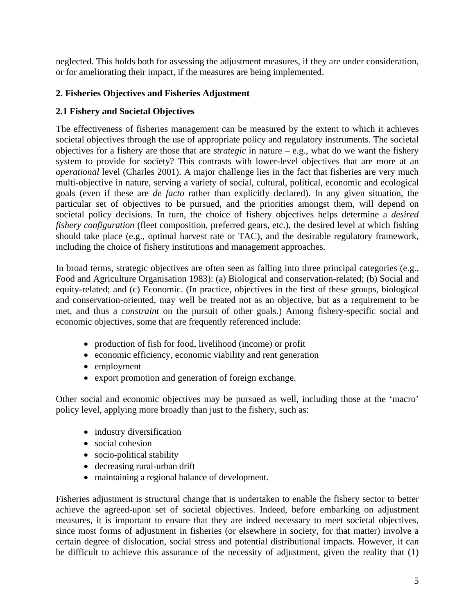neglected. This holds both for assessing the adjustment measures, if they are under consideration, or for ameliorating their impact, if the measures are being implemented.

# **2. Fisheries Objectives and Fisheries Adjustment**

## **2.1 Fishery and Societal Objectives**

The effectiveness of fisheries management can be measured by the extent to which it achieves societal objectives through the use of appropriate policy and regulatory instruments. The societal objectives for a fishery are those that are *strategic* in nature – e.g., what do we want the fishery system to provide for society? This contrasts with lower-level objectives that are more at an *operational* level (Charles 2001). A major challenge lies in the fact that fisheries are very much multi-objective in nature, serving a variety of social, cultural, political, economic and ecological goals (even if these are *de facto* rather than explicitly declared). In any given situation, the particular set of objectives to be pursued, and the priorities amongst them, will depend on societal policy decisions. In turn, the choice of fishery objectives helps determine a *desired fishery configuration* (fleet composition, preferred gears, etc.), the desired level at which fishing should take place (e.g., optimal harvest rate or TAC), and the desirable regulatory framework, including the choice of fishery institutions and management approaches.

In broad terms, strategic objectives are often seen as falling into three principal categories (e.g., Food and Agriculture Organisation 1983): (a) Biological and conservation-related; (b) Social and equity-related; and (c) Economic. (In practice, objectives in the first of these groups, biological and conservation-oriented, may well be treated not as an objective, but as a requirement to be met, and thus a *constraint* on the pursuit of other goals.) Among fishery-specific social and economic objectives, some that are frequently referenced include:

- production of fish for food, livelihood (income) or profit
- economic efficiency, economic viability and rent generation
- employment
- export promotion and generation of foreign exchange.

Other social and economic objectives may be pursued as well, including those at the 'macro' policy level, applying more broadly than just to the fishery, such as:

- industry diversification
- social cohesion
- socio-political stability
- decreasing rural-urban drift
- maintaining a regional balance of development.

Fisheries adjustment is structural change that is undertaken to enable the fishery sector to better achieve the agreed-upon set of societal objectives. Indeed, before embarking on adjustment measures, it is important to ensure that they are indeed necessary to meet societal objectives, since most forms of adjustment in fisheries (or elsewhere in society, for that matter) involve a certain degree of dislocation, social stress and potential distributional impacts. However, it can be difficult to achieve this assurance of the necessity of adjustment, given the reality that (1)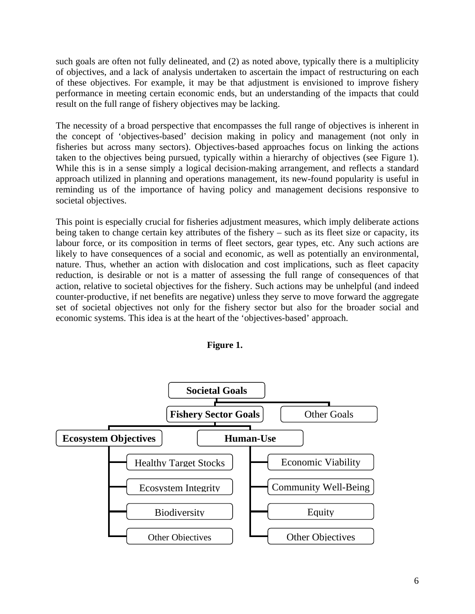such goals are often not fully delineated, and (2) as noted above, typically there is a multiplicity of objectives, and a lack of analysis undertaken to ascertain the impact of restructuring on each of these objectives. For example, it may be that adjustment is envisioned to improve fishery performance in meeting certain economic ends, but an understanding of the impacts that could result on the full range of fishery objectives may be lacking.

The necessity of a broad perspective that encompasses the full range of objectives is inherent in the concept of 'objectives-based' decision making in policy and management (not only in fisheries but across many sectors). Objectives-based approaches focus on linking the actions taken to the objectives being pursued, typically within a hierarchy of objectives (see Figure 1). While this is in a sense simply a logical decision-making arrangement, and reflects a standard approach utilized in planning and operations management, its new-found popularity is useful in reminding us of the importance of having policy and management decisions responsive to societal objectives.

This point is especially crucial for fisheries adjustment measures, which imply deliberate actions being taken to change certain key attributes of the fishery – such as its fleet size or capacity, its labour force, or its composition in terms of fleet sectors, gear types, etc. Any such actions are likely to have consequences of a social and economic, as well as potentially an environmental, nature. Thus, whether an action with dislocation and cost implications, such as fleet capacity reduction, is desirable or not is a matter of assessing the full range of consequences of that action, relative to societal objectives for the fishery. Such actions may be unhelpful (and indeed counter-productive, if net benefits are negative) unless they serve to move forward the aggregate set of societal objectives not only for the fishery sector but also for the broader social and economic systems. This idea is at the heart of the 'objectives-based' approach.



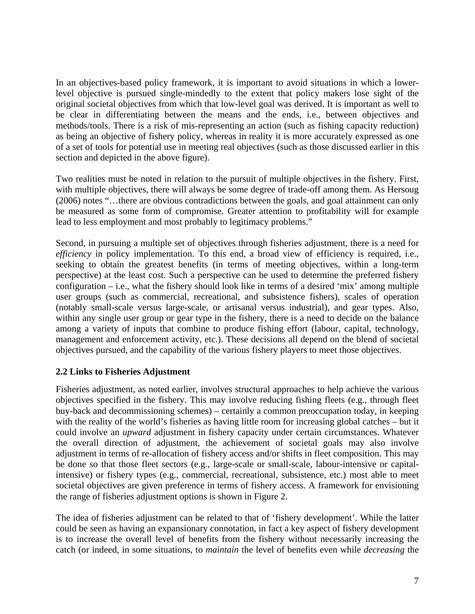In an objectives-based policy framework, it is important to avoid situations in which a lowerlevel objective is pursued single-mindedly to the extent that policy makers lose sight of the original societal objectives from which that low-level goal was derived. It is important as well to be clear in differentiating between the means and the ends, i.e., between objectives and methods/tools. There is a risk of mis-representing an action (such as fishing capacity reduction) as being an objective of fishery policy, whereas in reality it is more accurately expressed as one of a set of tools for potential use in meeting real objectives (such as those discussed earlier in this section and depicted in the above figure).

Two realities must be noted in relation to the pursuit of multiple objectives in the fishery. First, with multiple objectives, there will always be some degree of trade-off among them. As Hersoug (2006) notes "…there are obvious contradictions between the goals, and goal attainment can only be measured as some form of compromise. Greater attention to profitability will for example lead to less employment and most probably to legitimacy problems."

Second, in pursuing a multiple set of objectives through fisheries adjustment, there is a need for *efficiency* in policy implementation. To this end, a broad view of efficiency is required, i.e., seeking to obtain the greatest benefits (in terms of meeting objectives, within a long-term perspective) at the least cost. Such a perspective can be used to determine the preferred fishery configuration – i.e., what the fishery should look like in terms of a desired 'mix' among multiple user groups (such as commercial, recreational, and subsistence fishers), scales of operation (notably small-scale versus large-scale, or artisanal versus industrial), and gear types. Also, within any single user group or gear type in the fishery, there is a need to decide on the balance among a variety of inputs that combine to produce fishing effort (labour, capital, technology, management and enforcement activity, etc.). These decisions all depend on the blend of societal objectives pursued, and the capability of the various fishery players to meet those objectives.

## **2.2 Links to Fisheries Adjustment**

Fisheries adjustment, as noted earlier, involves structural approaches to help achieve the various objectives specified in the fishery. This may involve reducing fishing fleets (e.g., through fleet buy-back and decommissioning schemes) – certainly a common preoccupation today, in keeping with the reality of the world's fisheries as having little room for increasing global catches – but it could involve an *upward* adjustment in fishery capacity under certain circumstances. Whatever the overall direction of adjustment, the achievement of societal goals may also involve adjustment in terms of re-allocation of fishery access and/or shifts in fleet composition. This may be done so that those fleet sectors (e.g., large-scale or small-scale, labour-intensive or capitalintensive) or fishery types (e.g., commercial, recreational, subsistence, etc.) most able to meet societal objectives are given preference in terms of fishery access. A framework for envisioning the range of fisheries adjustment options is shown in Figure 2.

The idea of fisheries adjustment can be related to that of 'fishery development'. While the latter could be seen as having an expansionary connotation, in fact a key aspect of fishery development is to increase the overall level of benefits from the fishery without necessarily increasing the catch (or indeed, in some situations, to *maintain* the level of benefits even while *decreasing* the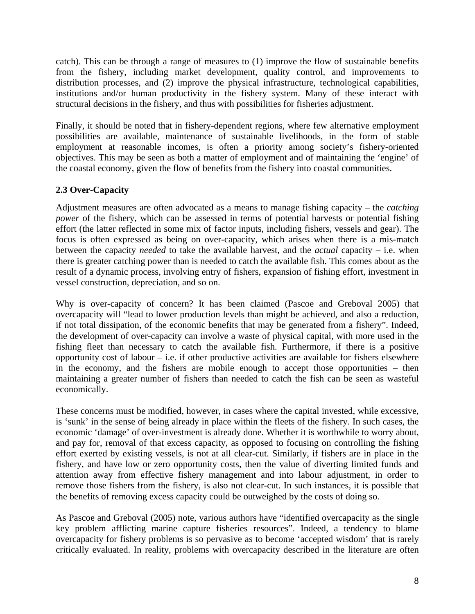catch). This can be through a range of measures to (1) improve the flow of sustainable benefits from the fishery, including market development, quality control, and improvements to distribution processes, and (2) improve the physical infrastructure, technological capabilities, institutions and/or human productivity in the fishery system. Many of these interact with structural decisions in the fishery, and thus with possibilities for fisheries adjustment.

Finally, it should be noted that in fishery-dependent regions, where few alternative employment possibilities are available, maintenance of sustainable livelihoods, in the form of stable employment at reasonable incomes, is often a priority among society's fishery-oriented objectives. This may be seen as both a matter of employment and of maintaining the 'engine' of the coastal economy, given the flow of benefits from the fishery into coastal communities.

# **2.3 Over-Capacity**

Adjustment measures are often advocated as a means to manage fishing capacity – the *catching power* of the fishery, which can be assessed in terms of potential harvests or potential fishing effort (the latter reflected in some mix of factor inputs, including fishers, vessels and gear). The focus is often expressed as being on over-capacity, which arises when there is a mis-match between the capacity *needed* to take the available harvest, and the *actual* capacity – i.e. when there is greater catching power than is needed to catch the available fish. This comes about as the result of a dynamic process, involving entry of fishers, expansion of fishing effort, investment in vessel construction, depreciation, and so on.

Why is over-capacity of concern? It has been claimed (Pascoe and Greboval 2005) that overcapacity will "lead to lower production levels than might be achieved, and also a reduction, if not total dissipation, of the economic benefits that may be generated from a fishery". Indeed, the development of over-capacity can involve a waste of physical capital, with more used in the fishing fleet than necessary to catch the available fish. Furthermore, if there is a positive opportunity cost of labour  $-$  i.e. if other productive activities are available for fishers elsewhere in the economy, and the fishers are mobile enough to accept those opportunities – then maintaining a greater number of fishers than needed to catch the fish can be seen as wasteful economically.

These concerns must be modified, however, in cases where the capital invested, while excessive, is 'sunk' in the sense of being already in place within the fleets of the fishery. In such cases, the economic 'damage' of over-investment is already done. Whether it is worthwhile to worry about, and pay for, removal of that excess capacity, as opposed to focusing on controlling the fishing effort exerted by existing vessels, is not at all clear-cut. Similarly, if fishers are in place in the fishery, and have low or zero opportunity costs, then the value of diverting limited funds and attention away from effective fishery management and into labour adjustment, in order to remove those fishers from the fishery, is also not clear-cut. In such instances, it is possible that the benefits of removing excess capacity could be outweighed by the costs of doing so.

As Pascoe and Greboval (2005) note, various authors have "identified overcapacity as the single key problem afflicting marine capture fisheries resources". Indeed, a tendency to blame overcapacity for fishery problems is so pervasive as to become 'accepted wisdom' that is rarely critically evaluated. In reality, problems with overcapacity described in the literature are often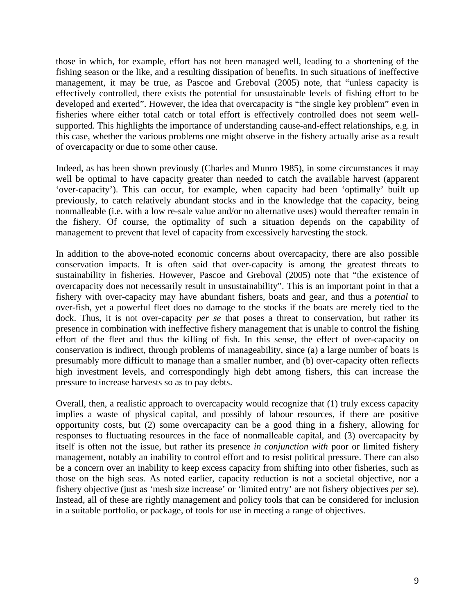those in which, for example, effort has not been managed well, leading to a shortening of the fishing season or the like, and a resulting dissipation of benefits. In such situations of ineffective management, it may be true, as Pascoe and Greboval (2005) note, that "unless capacity is effectively controlled, there exists the potential for unsustainable levels of fishing effort to be developed and exerted". However, the idea that overcapacity is "the single key problem" even in fisheries where either total catch or total effort is effectively controlled does not seem wellsupported. This highlights the importance of understanding cause-and-effect relationships, e.g. in this case, whether the various problems one might observe in the fishery actually arise as a result of overcapacity or due to some other cause.

Indeed, as has been shown previously (Charles and Munro 1985), in some circumstances it may well be optimal to have capacity greater than needed to catch the available harvest (apparent 'over-capacity'). This can occur, for example, when capacity had been 'optimally' built up previously, to catch relatively abundant stocks and in the knowledge that the capacity, being nonmalleable (i.e. with a low re-sale value and/or no alternative uses) would thereafter remain in the fishery. Of course, the optimality of such a situation depends on the capability of management to prevent that level of capacity from excessively harvesting the stock.

In addition to the above-noted economic concerns about overcapacity, there are also possible conservation impacts. It is often said that over-capacity is among the greatest threats to sustainability in fisheries. However, Pascoe and Greboval (2005) note that "the existence of overcapacity does not necessarily result in unsustainability". This is an important point in that a fishery with over-capacity may have abundant fishers, boats and gear, and thus a *potential* to over-fish, yet a powerful fleet does no damage to the stocks if the boats are merely tied to the dock. Thus, it is not over-capacity *per se* that poses a threat to conservation, but rather its presence in combination with ineffective fishery management that is unable to control the fishing effort of the fleet and thus the killing of fish. In this sense, the effect of over-capacity on conservation is indirect, through problems of manageability, since (a) a large number of boats is presumably more difficult to manage than a smaller number, and (b) over-capacity often reflects high investment levels, and correspondingly high debt among fishers, this can increase the pressure to increase harvests so as to pay debts.

Overall, then, a realistic approach to overcapacity would recognize that (1) truly excess capacity implies a waste of physical capital, and possibly of labour resources, if there are positive opportunity costs, but (2) some overcapacity can be a good thing in a fishery, allowing for responses to fluctuating resources in the face of nonmalleable capital, and (3) overcapacity by itself is often not the issue, but rather its presence *in conjunction with* poor or limited fishery management, notably an inability to control effort and to resist political pressure. There can also be a concern over an inability to keep excess capacity from shifting into other fisheries, such as those on the high seas. As noted earlier, capacity reduction is not a societal objective, nor a fishery objective (just as 'mesh size increase' or 'limited entry' are not fishery objectives *per se*). Instead, all of these are rightly management and policy tools that can be considered for inclusion in a suitable portfolio, or package, of tools for use in meeting a range of objectives.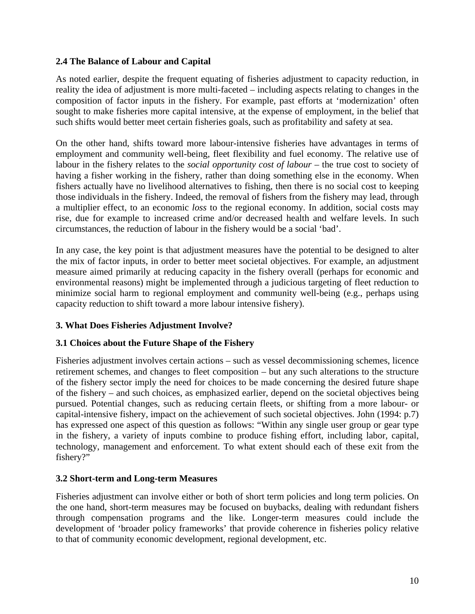## **2.4 The Balance of Labour and Capital**

As noted earlier, despite the frequent equating of fisheries adjustment to capacity reduction, in reality the idea of adjustment is more multi-faceted – including aspects relating to changes in the composition of factor inputs in the fishery. For example, past efforts at 'modernization' often sought to make fisheries more capital intensive, at the expense of employment, in the belief that such shifts would better meet certain fisheries goals, such as profitability and safety at sea.

On the other hand, shifts toward more labour-intensive fisheries have advantages in terms of employment and community well-being, fleet flexibility and fuel economy. The relative use of labour in the fishery relates to the *social opportunity cost of labour* – the true cost to society of having a fisher working in the fishery, rather than doing something else in the economy. When fishers actually have no livelihood alternatives to fishing, then there is no social cost to keeping those individuals in the fishery. Indeed, the removal of fishers from the fishery may lead, through a multiplier effect, to an economic *loss* to the regional economy. In addition, social costs may rise, due for example to increased crime and/or decreased health and welfare levels. In such circumstances, the reduction of labour in the fishery would be a social 'bad'.

In any case, the key point is that adjustment measures have the potential to be designed to alter the mix of factor inputs, in order to better meet societal objectives. For example, an adjustment measure aimed primarily at reducing capacity in the fishery overall (perhaps for economic and environmental reasons) might be implemented through a judicious targeting of fleet reduction to minimize social harm to regional employment and community well-being (e.g., perhaps using capacity reduction to shift toward a more labour intensive fishery).

# **3. What Does Fisheries Adjustment Involve?**

## **3.1 Choices about the Future Shape of the Fishery**

Fisheries adjustment involves certain actions – such as vessel decommissioning schemes, licence retirement schemes, and changes to fleet composition – but any such alterations to the structure of the fishery sector imply the need for choices to be made concerning the desired future shape of the fishery – and such choices, as emphasized earlier, depend on the societal objectives being pursued. Potential changes, such as reducing certain fleets, or shifting from a more labour- or capital-intensive fishery, impact on the achievement of such societal objectives. John (1994: p.7) has expressed one aspect of this question as follows: "Within any single user group or gear type in the fishery, a variety of inputs combine to produce fishing effort, including labor, capital, technology, management and enforcement. To what extent should each of these exit from the fishery?"

## **3.2 Short-term and Long-term Measures**

Fisheries adjustment can involve either or both of short term policies and long term policies. On the one hand, short-term measures may be focused on buybacks, dealing with redundant fishers through compensation programs and the like. Longer-term measures could include the development of 'broader policy frameworks' that provide coherence in fisheries policy relative to that of community economic development, regional development, etc.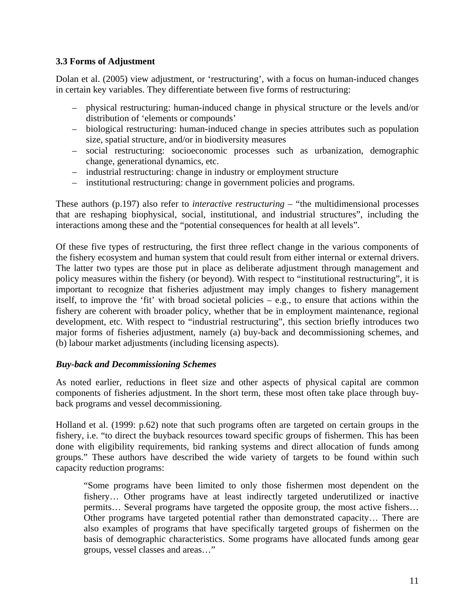# **3.3 Forms of Adjustment**

Dolan et al. (2005) view adjustment, or 'restructuring', with a focus on human-induced changes in certain key variables. They differentiate between five forms of restructuring:

- physical restructuring: human-induced change in physical structure or the levels and/or distribution of 'elements or compounds'
- biological restructuring: human-induced change in species attributes such as population size, spatial structure, and/or in biodiversity measures
- social restructuring: socioeconomic processes such as urbanization, demographic change, generational dynamics, etc.
- industrial restructuring: change in industry or employment structure
- institutional restructuring: change in government policies and programs.

These authors (p.197) also refer to *interactive restructuring* – "the multidimensional processes that are reshaping biophysical, social, institutional, and industrial structures", including the interactions among these and the "potential consequences for health at all levels".

Of these five types of restructuring, the first three reflect change in the various components of the fishery ecosystem and human system that could result from either internal or external drivers. The latter two types are those put in place as deliberate adjustment through management and policy measures within the fishery (or beyond). With respect to "institutional restructuring", it is important to recognize that fisheries adjustment may imply changes to fishery management itself, to improve the 'fit' with broad societal policies – e.g., to ensure that actions within the fishery are coherent with broader policy, whether that be in employment maintenance, regional development, etc. With respect to "industrial restructuring", this section briefly introduces two major forms of fisheries adjustment, namely (a) buy-back and decommissioning schemes, and (b) labour market adjustments (including licensing aspects).

## *Buy-back and Decommissioning Schemes*

As noted earlier, reductions in fleet size and other aspects of physical capital are common components of fisheries adjustment. In the short term, these most often take place through buyback programs and vessel decommissioning.

Holland et al. (1999: p.62) note that such programs often are targeted on certain groups in the fishery, i.e. "to direct the buyback resources toward specific groups of fishermen. This has been done with eligibility requirements, bid ranking systems and direct allocation of funds among groups." These authors have described the wide variety of targets to be found within such capacity reduction programs:

"Some programs have been limited to only those fishermen most dependent on the fishery… Other programs have at least indirectly targeted underutilized or inactive permits… Several programs have targeted the opposite group, the most active fishers… Other programs have targeted potential rather than demonstrated capacity… There are also examples of programs that have specifically targeted groups of fishermen on the basis of demographic characteristics. Some programs have allocated funds among gear groups, vessel classes and areas…"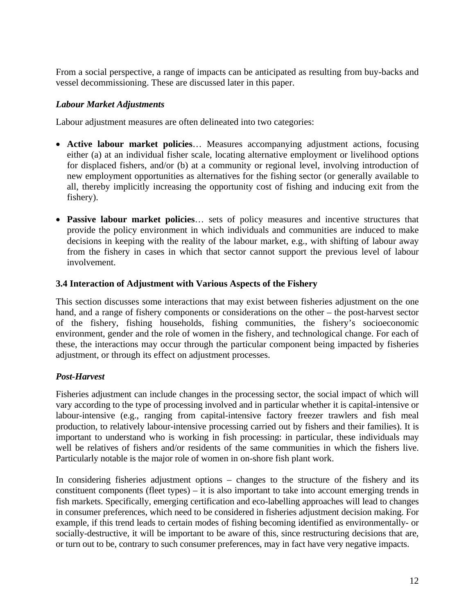From a social perspective, a range of impacts can be anticipated as resulting from buy-backs and vessel decommissioning. These are discussed later in this paper.

## *Labour Market Adjustments*

Labour adjustment measures are often delineated into two categories:

- **Active labour market policies**… Measures accompanying adjustment actions, focusing either (a) at an individual fisher scale, locating alternative employment or livelihood options for displaced fishers, and/or (b) at a community or regional level, involving introduction of new employment opportunities as alternatives for the fishing sector (or generally available to all, thereby implicitly increasing the opportunity cost of fishing and inducing exit from the fishery).
- **Passive labour market policies**… sets of policy measures and incentive structures that provide the policy environment in which individuals and communities are induced to make decisions in keeping with the reality of the labour market, e.g., with shifting of labour away from the fishery in cases in which that sector cannot support the previous level of labour involvement.

## **3.4 Interaction of Adjustment with Various Aspects of the Fishery**

This section discusses some interactions that may exist between fisheries adjustment on the one hand, and a range of fishery components or considerations on the other – the post-harvest sector of the fishery, fishing households, fishing communities, the fishery's socioeconomic environment, gender and the role of women in the fishery, and technological change. For each of these, the interactions may occur through the particular component being impacted by fisheries adjustment, or through its effect on adjustment processes.

## *Post-Harvest*

Fisheries adjustment can include changes in the processing sector, the social impact of which will vary according to the type of processing involved and in particular whether it is capital-intensive or labour-intensive (e.g., ranging from capital-intensive factory freezer trawlers and fish meal production, to relatively labour-intensive processing carried out by fishers and their families). It is important to understand who is working in fish processing: in particular, these individuals may well be relatives of fishers and/or residents of the same communities in which the fishers live. Particularly notable is the major role of women in on-shore fish plant work.

In considering fisheries adjustment options – changes to the structure of the fishery and its constituent components (fleet types) – it is also important to take into account emerging trends in fish markets. Specifically, emerging certification and eco-labelling approaches will lead to changes in consumer preferences, which need to be considered in fisheries adjustment decision making. For example, if this trend leads to certain modes of fishing becoming identified as environmentally- or socially-destructive, it will be important to be aware of this, since restructuring decisions that are, or turn out to be, contrary to such consumer preferences, may in fact have very negative impacts.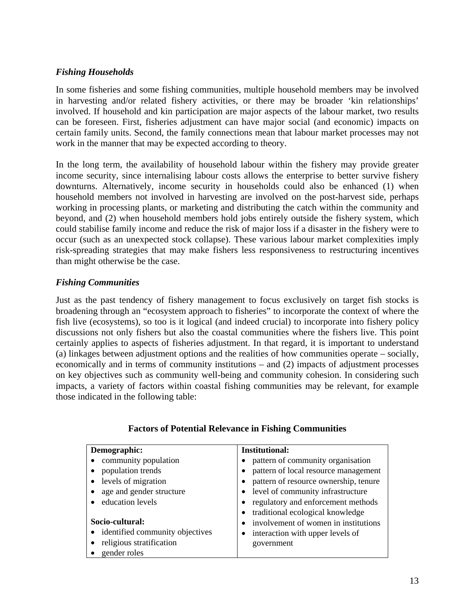## *Fishing Households*

In some fisheries and some fishing communities, multiple household members may be involved in harvesting and/or related fishery activities, or there may be broader 'kin relationships' involved. If household and kin participation are major aspects of the labour market, two results can be foreseen. First, fisheries adjustment can have major social (and economic) impacts on certain family units. Second, the family connections mean that labour market processes may not work in the manner that may be expected according to theory.

In the long term, the availability of household labour within the fishery may provide greater income security, since internalising labour costs allows the enterprise to better survive fishery downturns. Alternatively, income security in households could also be enhanced (1) when household members not involved in harvesting are involved on the post-harvest side, perhaps working in processing plants, or marketing and distributing the catch within the community and beyond, and (2) when household members hold jobs entirely outside the fishery system, which could stabilise family income and reduce the risk of major loss if a disaster in the fishery were to occur (such as an unexpected stock collapse). These various labour market complexities imply risk-spreading strategies that may make fishers less responsiveness to restructuring incentives than might otherwise be the case.

## *Fishing Communities*

Just as the past tendency of fishery management to focus exclusively on target fish stocks is broadening through an "ecosystem approach to fisheries" to incorporate the context of where the fish live (ecosystems), so too is it logical (and indeed crucial) to incorporate into fishery policy discussions not only fishers but also the coastal communities where the fishers live. This point certainly applies to aspects of fisheries adjustment. In that regard, it is important to understand (a) linkages between adjustment options and the realities of how communities operate – socially, economically and in terms of community institutions – and (2) impacts of adjustment processes on key objectives such as community well-being and community cohesion. In considering such impacts, a variety of factors within coastal fishing communities may be relevant, for example those indicated in the following table:

| Demographic:                    | Institutional:                        |  |  |  |
|---------------------------------|---------------------------------------|--|--|--|
| community population            | pattern of community organisation     |  |  |  |
| population trends               | pattern of local resource management  |  |  |  |
| levels of migration             | pattern of resource ownership, tenure |  |  |  |
| age and gender structure        | level of community infrastructure     |  |  |  |
| education levels                | regulatory and enforcement methods    |  |  |  |
|                                 | traditional ecological knowledge      |  |  |  |
| Socio-cultural:                 | involvement of women in institutions  |  |  |  |
| identified community objectives | interaction with upper levels of      |  |  |  |
| religious stratification        | government                            |  |  |  |
| gender roles                    |                                       |  |  |  |

#### **Factors of Potential Relevance in Fishing Communities**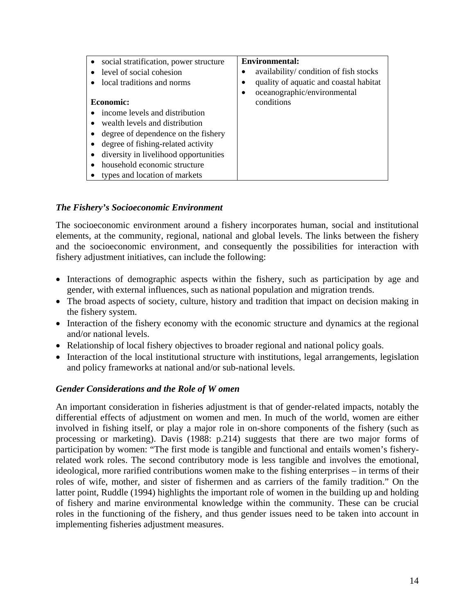| social stratification, power structure | Environmental:                             |
|----------------------------------------|--------------------------------------------|
| level of social cohesion               | availability/condition of fish stocks<br>٠ |
| local traditions and norms             | quality of aquatic and coastal habitat     |
|                                        | oceanographic/environmental                |
| Economic:                              | conditions                                 |
| income levels and distribution         |                                            |
| wealth levels and distribution         |                                            |
| degree of dependence on the fishery    |                                            |
| degree of fishing-related activity     |                                            |
| diversity in livelihood opportunities  |                                            |
| household economic structure           |                                            |
| types and location of markets          |                                            |

## *The Fishery's Socioeconomic Environment*

The socioeconomic environment around a fishery incorporates human, social and institutional elements, at the community, regional, national and global levels. The links between the fishery and the socioeconomic environment, and consequently the possibilities for interaction with fishery adjustment initiatives, can include the following:

- Interactions of demographic aspects within the fishery, such as participation by age and gender, with external influences, such as national population and migration trends.
- The broad aspects of society, culture, history and tradition that impact on decision making in the fishery system.
- Interaction of the fishery economy with the economic structure and dynamics at the regional and/or national levels.
- Relationship of local fishery objectives to broader regional and national policy goals.
- Interaction of the local institutional structure with institutions, legal arrangements, legislation and policy frameworks at national and/or sub-national levels.

#### *Gender Considerations and the Role of W omen*

An important consideration in fisheries adjustment is that of gender-related impacts, notably the differential effects of adjustment on women and men. In much of the world, women are either involved in fishing itself, or play a major role in on-shore components of the fishery (such as processing or marketing). Davis (1988: p.214) suggests that there are two major forms of participation by women: "The first mode is tangible and functional and entails women's fisheryrelated work roles. The second contributory mode is less tangible and involves the emotional, ideological, more rarified contributions women make to the fishing enterprises – in terms of their roles of wife, mother, and sister of fishermen and as carriers of the family tradition." On the latter point, Ruddle (1994) highlights the important role of women in the building up and holding of fishery and marine environmental knowledge within the community. These can be crucial roles in the functioning of the fishery, and thus gender issues need to be taken into account in implementing fisheries adjustment measures.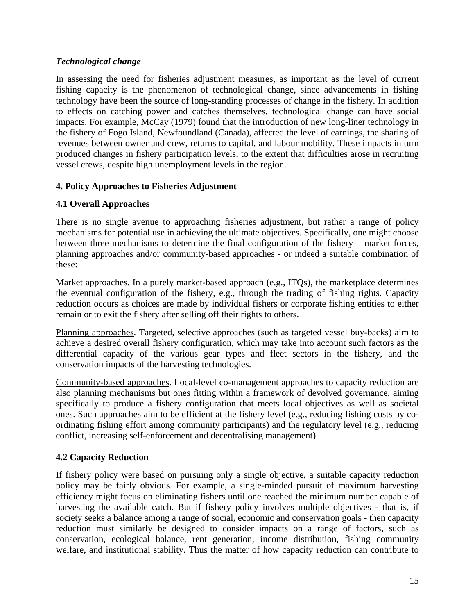# *Technological change*

In assessing the need for fisheries adjustment measures, as important as the level of current fishing capacity is the phenomenon of technological change, since advancements in fishing technology have been the source of long-standing processes of change in the fishery. In addition to effects on catching power and catches themselves, technological change can have social impacts. For example, McCay (1979) found that the introduction of new long-liner technology in the fishery of Fogo Island, Newfoundland (Canada), affected the level of earnings, the sharing of revenues between owner and crew, returns to capital, and labour mobility. These impacts in turn produced changes in fishery participation levels, to the extent that difficulties arose in recruiting vessel crews, despite high unemployment levels in the region.

## **4. Policy Approaches to Fisheries Adjustment**

# **4.1 Overall Approaches**

There is no single avenue to approaching fisheries adjustment, but rather a range of policy mechanisms for potential use in achieving the ultimate objectives. Specifically, one might choose between three mechanisms to determine the final configuration of the fishery – market forces, planning approaches and/or community-based approaches - or indeed a suitable combination of these:

Market approaches. In a purely market-based approach (e.g., ITQs), the marketplace determines the eventual configuration of the fishery, e.g., through the trading of fishing rights. Capacity reduction occurs as choices are made by individual fishers or corporate fishing entities to either remain or to exit the fishery after selling off their rights to others.

Planning approaches. Targeted, selective approaches (such as targeted vessel buy-backs) aim to achieve a desired overall fishery configuration, which may take into account such factors as the differential capacity of the various gear types and fleet sectors in the fishery, and the conservation impacts of the harvesting technologies.

Community-based approaches. Local-level co-management approaches to capacity reduction are also planning mechanisms but ones fitting within a framework of devolved governance, aiming specifically to produce a fishery configuration that meets local objectives as well as societal ones. Such approaches aim to be efficient at the fishery level (e.g., reducing fishing costs by coordinating fishing effort among community participants) and the regulatory level (e.g., reducing conflict, increasing self-enforcement and decentralising management).

# **4.2 Capacity Reduction**

If fishery policy were based on pursuing only a single objective, a suitable capacity reduction policy may be fairly obvious. For example, a single-minded pursuit of maximum harvesting efficiency might focus on eliminating fishers until one reached the minimum number capable of harvesting the available catch. But if fishery policy involves multiple objectives - that is, if society seeks a balance among a range of social, economic and conservation goals - then capacity reduction must similarly be designed to consider impacts on a range of factors, such as conservation, ecological balance, rent generation, income distribution, fishing community welfare, and institutional stability. Thus the matter of how capacity reduction can contribute to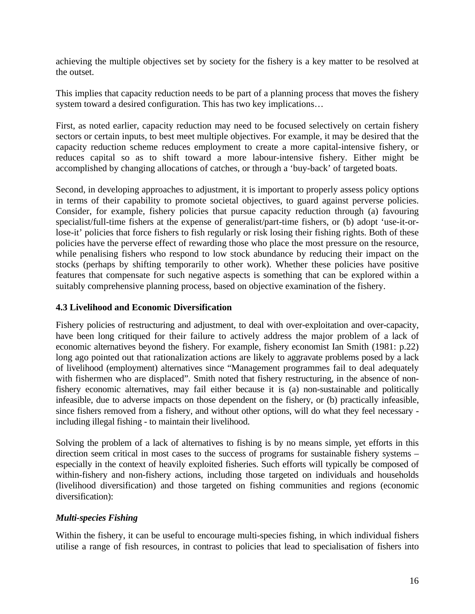achieving the multiple objectives set by society for the fishery is a key matter to be resolved at the outset.

This implies that capacity reduction needs to be part of a planning process that moves the fishery system toward a desired configuration. This has two key implications…

First, as noted earlier, capacity reduction may need to be focused selectively on certain fishery sectors or certain inputs, to best meet multiple objectives. For example, it may be desired that the capacity reduction scheme reduces employment to create a more capital-intensive fishery, or reduces capital so as to shift toward a more labour-intensive fishery. Either might be accomplished by changing allocations of catches, or through a 'buy-back' of targeted boats.

Second, in developing approaches to adjustment, it is important to properly assess policy options in terms of their capability to promote societal objectives, to guard against perverse policies. Consider, for example, fishery policies that pursue capacity reduction through (a) favouring specialist/full-time fishers at the expense of generalist/part-time fishers, or (b) adopt 'use-it-orlose-it' policies that force fishers to fish regularly or risk losing their fishing rights. Both of these policies have the perverse effect of rewarding those who place the most pressure on the resource, while penalising fishers who respond to low stock abundance by reducing their impact on the stocks (perhaps by shifting temporarily to other work). Whether these policies have positive features that compensate for such negative aspects is something that can be explored within a suitably comprehensive planning process, based on objective examination of the fishery.

#### **4.3 Livelihood and Economic Diversification**

Fishery policies of restructuring and adjustment, to deal with over-exploitation and over-capacity, have been long critiqued for their failure to actively address the major problem of a lack of economic alternatives beyond the fishery. For example, fishery economist Ian Smith (1981: p.22) long ago pointed out that rationalization actions are likely to aggravate problems posed by a lack of livelihood (employment) alternatives since "Management programmes fail to deal adequately with fishermen who are displaced". Smith noted that fishery restructuring, in the absence of nonfishery economic alternatives, may fail either because it is (a) non-sustainable and politically infeasible, due to adverse impacts on those dependent on the fishery, or (b) practically infeasible, since fishers removed from a fishery, and without other options, will do what they feel necessary including illegal fishing - to maintain their livelihood.

Solving the problem of a lack of alternatives to fishing is by no means simple, yet efforts in this direction seem critical in most cases to the success of programs for sustainable fishery systems – especially in the context of heavily exploited fisheries. Such efforts will typically be composed of within-fishery and non-fishery actions, including those targeted on individuals and households (livelihood diversification) and those targeted on fishing communities and regions (economic diversification):

#### *Multi-species Fishing*

Within the fishery, it can be useful to encourage multi-species fishing, in which individual fishers utilise a range of fish resources, in contrast to policies that lead to specialisation of fishers into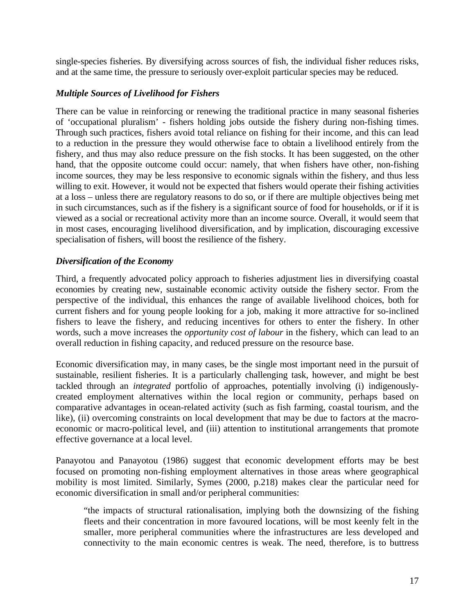single-species fisheries. By diversifying across sources of fish, the individual fisher reduces risks, and at the same time, the pressure to seriously over-exploit particular species may be reduced.

#### *Multiple Sources of Livelihood for Fishers*

There can be value in reinforcing or renewing the traditional practice in many seasonal fisheries of 'occupational pluralism' - fishers holding jobs outside the fishery during non-fishing times. Through such practices, fishers avoid total reliance on fishing for their income, and this can lead to a reduction in the pressure they would otherwise face to obtain a livelihood entirely from the fishery, and thus may also reduce pressure on the fish stocks. It has been suggested, on the other hand, that the opposite outcome could occur: namely, that when fishers have other, non-fishing income sources, they may be less responsive to economic signals within the fishery, and thus less willing to exit. However, it would not be expected that fishers would operate their fishing activities at a loss – unless there are regulatory reasons to do so, or if there are multiple objectives being met in such circumstances, such as if the fishery is a significant source of food for households, or if it is viewed as a social or recreational activity more than an income source. Overall, it would seem that in most cases, encouraging livelihood diversification, and by implication, discouraging excessive specialisation of fishers, will boost the resilience of the fishery.

#### *Diversification of the Economy*

Third, a frequently advocated policy approach to fisheries adjustment lies in diversifying coastal economies by creating new, sustainable economic activity outside the fishery sector. From the perspective of the individual, this enhances the range of available livelihood choices, both for current fishers and for young people looking for a job, making it more attractive for so-inclined fishers to leave the fishery, and reducing incentives for others to enter the fishery. In other words, such a move increases the *opportunity cost of labour* in the fishery, which can lead to an overall reduction in fishing capacity, and reduced pressure on the resource base.

Economic diversification may, in many cases, be the single most important need in the pursuit of sustainable, resilient fisheries. It is a particularly challenging task, however, and might be best tackled through an *integrated* portfolio of approaches, potentially involving (i) indigenouslycreated employment alternatives within the local region or community, perhaps based on comparative advantages in ocean-related activity (such as fish farming, coastal tourism, and the like), (ii) overcoming constraints on local development that may be due to factors at the macroeconomic or macro-political level, and (iii) attention to institutional arrangements that promote effective governance at a local level.

Panayotou and Panayotou (1986) suggest that economic development efforts may be best focused on promoting non-fishing employment alternatives in those areas where geographical mobility is most limited. Similarly, Symes (2000, p.218) makes clear the particular need for economic diversification in small and/or peripheral communities:

"the impacts of structural rationalisation, implying both the downsizing of the fishing fleets and their concentration in more favoured locations, will be most keenly felt in the smaller, more peripheral communities where the infrastructures are less developed and connectivity to the main economic centres is weak. The need, therefore, is to buttress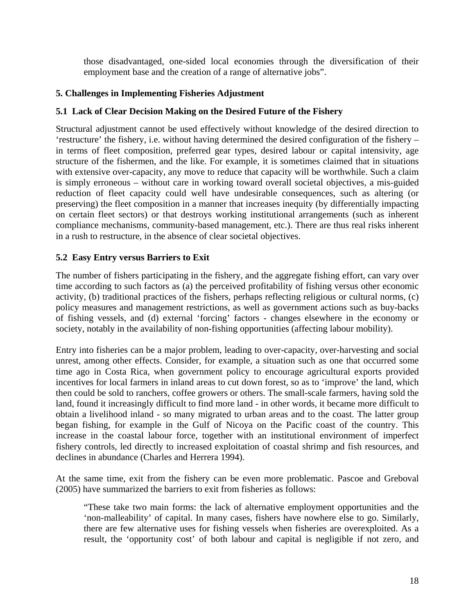those disadvantaged, one-sided local economies through the diversification of their employment base and the creation of a range of alternative jobs".

## **5. Challenges in Implementing Fisheries Adjustment**

#### **5.1 Lack of Clear Decision Making on the Desired Future of the Fishery**

Structural adjustment cannot be used effectively without knowledge of the desired direction to 'restructure' the fishery, i.e. without having determined the desired configuration of the fishery – in terms of fleet composition, preferred gear types, desired labour or capital intensivity, age structure of the fishermen, and the like. For example, it is sometimes claimed that in situations with extensive over-capacity, any move to reduce that capacity will be worthwhile. Such a claim is simply erroneous – without care in working toward overall societal objectives, a mis-guided reduction of fleet capacity could well have undesirable consequences, such as altering (or preserving) the fleet composition in a manner that increases inequity (by differentially impacting on certain fleet sectors) or that destroys working institutional arrangements (such as inherent compliance mechanisms, community-based management, etc.). There are thus real risks inherent in a rush to restructure, in the absence of clear societal objectives.

#### **5.2 Easy Entry versus Barriers to Exit**

The number of fishers participating in the fishery, and the aggregate fishing effort, can vary over time according to such factors as (a) the perceived profitability of fishing versus other economic activity, (b) traditional practices of the fishers, perhaps reflecting religious or cultural norms, (c) policy measures and management restrictions, as well as government actions such as buy-backs of fishing vessels, and (d) external 'forcing' factors - changes elsewhere in the economy or society, notably in the availability of non-fishing opportunities (affecting labour mobility).

Entry into fisheries can be a major problem, leading to over-capacity, over-harvesting and social unrest, among other effects. Consider, for example, a situation such as one that occurred some time ago in Costa Rica, when government policy to encourage agricultural exports provided incentives for local farmers in inland areas to cut down forest, so as to 'improve' the land, which then could be sold to ranchers, coffee growers or others. The small-scale farmers, having sold the land, found it increasingly difficult to find more land - in other words, it became more difficult to obtain a livelihood inland - so many migrated to urban areas and to the coast. The latter group began fishing, for example in the Gulf of Nicoya on the Pacific coast of the country. This increase in the coastal labour force, together with an institutional environment of imperfect fishery controls, led directly to increased exploitation of coastal shrimp and fish resources, and declines in abundance (Charles and Herrera 1994).

At the same time, exit from the fishery can be even more problematic. Pascoe and Greboval (2005) have summarized the barriers to exit from fisheries as follows:

"These take two main forms: the lack of alternative employment opportunities and the 'non-malleability' of capital. In many cases, fishers have nowhere else to go. Similarly, there are few alternative uses for fishing vessels when fisheries are overexploited. As a result, the 'opportunity cost' of both labour and capital is negligible if not zero, and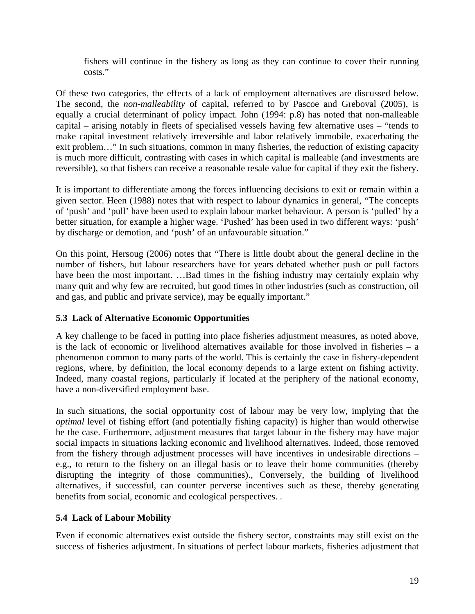fishers will continue in the fishery as long as they can continue to cover their running costs."

Of these two categories, the effects of a lack of employment alternatives are discussed below. The second, the *non-malleability* of capital, referred to by Pascoe and Greboval (2005), is equally a crucial determinant of policy impact. John (1994: p.8) has noted that non-malleable capital – arising notably in fleets of specialised vessels having few alternative uses – "tends to make capital investment relatively irreversible and labor relatively immobile, exacerbating the exit problem…" In such situations, common in many fisheries, the reduction of existing capacity is much more difficult, contrasting with cases in which capital is malleable (and investments are reversible), so that fishers can receive a reasonable resale value for capital if they exit the fishery.

It is important to differentiate among the forces influencing decisions to exit or remain within a given sector. Heen (1988) notes that with respect to labour dynamics in general, "The concepts of 'push' and 'pull' have been used to explain labour market behaviour. A person is 'pulled' by a better situation, for example a higher wage. 'Pushed' has been used in two different ways: 'push' by discharge or demotion, and 'push' of an unfavourable situation."

On this point, Hersoug (2006) notes that "There is little doubt about the general decline in the number of fishers, but labour researchers have for years debated whether push or pull factors have been the most important. ...Bad times in the fishing industry may certainly explain why many quit and why few are recruited, but good times in other industries (such as construction, oil and gas, and public and private service), may be equally important."

## **5.3 Lack of Alternative Economic Opportunities**

A key challenge to be faced in putting into place fisheries adjustment measures, as noted above, is the lack of economic or livelihood alternatives available for those involved in fisheries – a phenomenon common to many parts of the world. This is certainly the case in fishery-dependent regions, where, by definition, the local economy depends to a large extent on fishing activity. Indeed, many coastal regions, particularly if located at the periphery of the national economy, have a non-diversified employment base.

In such situations, the social opportunity cost of labour may be very low, implying that the *optimal* level of fishing effort (and potentially fishing capacity) is higher than would otherwise be the case. Furthermore, adjustment measures that target labour in the fishery may have major social impacts in situations lacking economic and livelihood alternatives. Indeed, those removed from the fishery through adjustment processes will have incentives in undesirable directions – e.g., to return to the fishery on an illegal basis or to leave their home communities (thereby disrupting the integrity of those communities)., Conversely, the building of livelihood alternatives, if successful, can counter perverse incentives such as these, thereby generating benefits from social, economic and ecological perspectives. .

## **5.4 Lack of Labour Mobility**

Even if economic alternatives exist outside the fishery sector, constraints may still exist on the success of fisheries adjustment. In situations of perfect labour markets, fisheries adjustment that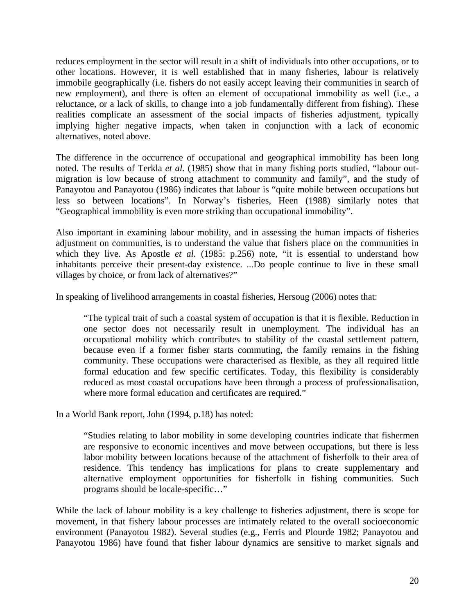reduces employment in the sector will result in a shift of individuals into other occupations, or to other locations. However, it is well established that in many fisheries, labour is relatively immobile geographically (i.e. fishers do not easily accept leaving their communities in search of new employment), and there is often an element of occupational immobility as well (i.e., a reluctance, or a lack of skills, to change into a job fundamentally different from fishing). These realities complicate an assessment of the social impacts of fisheries adjustment, typically implying higher negative impacts, when taken in conjunction with a lack of economic alternatives, noted above.

The difference in the occurrence of occupational and geographical immobility has been long noted. The results of Terkla *et al.* (1985) show that in many fishing ports studied, "labour outmigration is low because of strong attachment to community and family", and the study of Panayotou and Panayotou (1986) indicates that labour is "quite mobile between occupations but less so between locations". In Norway's fisheries, Heen (1988) similarly notes that "Geographical immobility is even more striking than occupational immobility".

Also important in examining labour mobility, and in assessing the human impacts of fisheries adjustment on communities, is to understand the value that fishers place on the communities in which they live. As Apostle *et al.* (1985: p.256) note, "it is essential to understand how inhabitants perceive their present-day existence. ...Do people continue to live in these small villages by choice, or from lack of alternatives?"

In speaking of livelihood arrangements in coastal fisheries, Hersoug (2006) notes that:

"The typical trait of such a coastal system of occupation is that it is flexible. Reduction in one sector does not necessarily result in unemployment. The individual has an occupational mobility which contributes to stability of the coastal settlement pattern, because even if a former fisher starts commuting, the family remains in the fishing community. These occupations were characterised as flexible, as they all required little formal education and few specific certificates. Today, this flexibility is considerably reduced as most coastal occupations have been through a process of professionalisation, where more formal education and certificates are required."

In a World Bank report, John (1994, p.18) has noted:

"Studies relating to labor mobility in some developing countries indicate that fishermen are responsive to economic incentives and move between occupations, but there is less labor mobility between locations because of the attachment of fisherfolk to their area of residence. This tendency has implications for plans to create supplementary and alternative employment opportunities for fisherfolk in fishing communities. Such programs should be locale-specific…"

While the lack of labour mobility is a key challenge to fisheries adjustment, there is scope for movement, in that fishery labour processes are intimately related to the overall socioeconomic environment (Panayotou 1982). Several studies (e.g., Ferris and Plourde 1982; Panayotou and Panayotou 1986) have found that fisher labour dynamics are sensitive to market signals and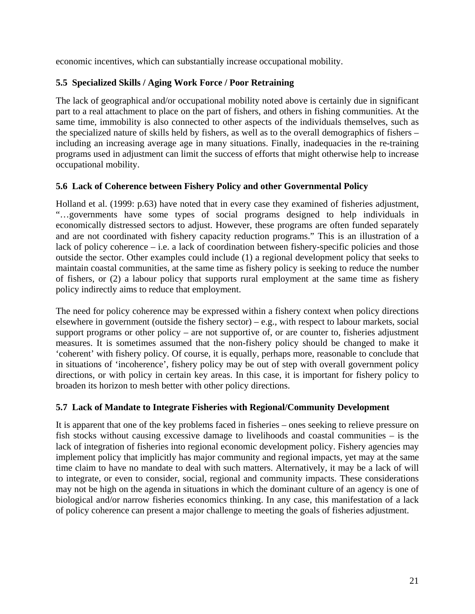economic incentives, which can substantially increase occupational mobility.

## **5.5 Specialized Skills / Aging Work Force / Poor Retraining**

The lack of geographical and/or occupational mobility noted above is certainly due in significant part to a real attachment to place on the part of fishers, and others in fishing communities. At the same time, immobility is also connected to other aspects of the individuals themselves, such as the specialized nature of skills held by fishers, as well as to the overall demographics of fishers – including an increasing average age in many situations. Finally, inadequacies in the re-training programs used in adjustment can limit the success of efforts that might otherwise help to increase occupational mobility.

## **5.6 Lack of Coherence between Fishery Policy and other Governmental Policy**

Holland et al. (1999: p.63) have noted that in every case they examined of fisheries adjustment, "…governments have some types of social programs designed to help individuals in economically distressed sectors to adjust. However, these programs are often funded separately and are not coordinated with fishery capacity reduction programs." This is an illustration of a lack of policy coherence – i.e. a lack of coordination between fishery-specific policies and those outside the sector. Other examples could include (1) a regional development policy that seeks to maintain coastal communities, at the same time as fishery policy is seeking to reduce the number of fishers, or (2) a labour policy that supports rural employment at the same time as fishery policy indirectly aims to reduce that employment.

The need for policy coherence may be expressed within a fishery context when policy directions elsewhere in government (outside the fishery sector) – e.g., with respect to labour markets, social support programs or other policy – are not supportive of, or are counter to, fisheries adjustment measures. It is sometimes assumed that the non-fishery policy should be changed to make it 'coherent' with fishery policy. Of course, it is equally, perhaps more, reasonable to conclude that in situations of 'incoherence', fishery policy may be out of step with overall government policy directions, or with policy in certain key areas. In this case, it is important for fishery policy to broaden its horizon to mesh better with other policy directions.

## **5.7 Lack of Mandate to Integrate Fisheries with Regional/Community Development**

It is apparent that one of the key problems faced in fisheries – ones seeking to relieve pressure on fish stocks without causing excessive damage to livelihoods and coastal communities – is the lack of integration of fisheries into regional economic development policy. Fishery agencies may implement policy that implicitly has major community and regional impacts, yet may at the same time claim to have no mandate to deal with such matters. Alternatively, it may be a lack of will to integrate, or even to consider, social, regional and community impacts. These considerations may not be high on the agenda in situations in which the dominant culture of an agency is one of biological and/or narrow fisheries economics thinking. In any case, this manifestation of a lack of policy coherence can present a major challenge to meeting the goals of fisheries adjustment.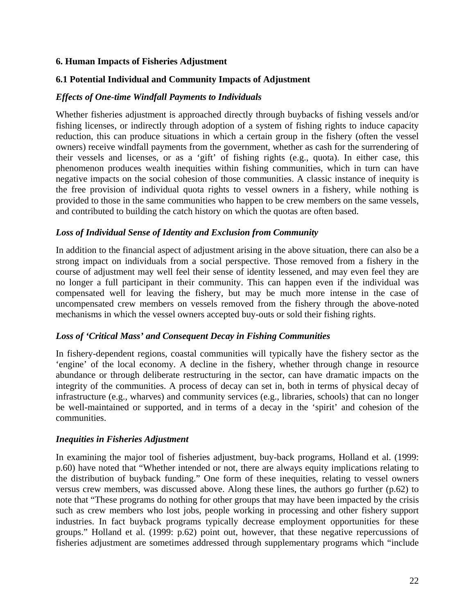#### **6. Human Impacts of Fisheries Adjustment**

#### **6.1 Potential Individual and Community Impacts of Adjustment**

#### *Effects of One-time Windfall Payments to Individuals*

Whether fisheries adjustment is approached directly through buybacks of fishing vessels and/or fishing licenses, or indirectly through adoption of a system of fishing rights to induce capacity reduction, this can produce situations in which a certain group in the fishery (often the vessel owners) receive windfall payments from the government, whether as cash for the surrendering of their vessels and licenses, or as a 'gift' of fishing rights (e.g., quota). In either case, this phenomenon produces wealth inequities within fishing communities, which in turn can have negative impacts on the social cohesion of those communities. A classic instance of inequity is the free provision of individual quota rights to vessel owners in a fishery, while nothing is provided to those in the same communities who happen to be crew members on the same vessels, and contributed to building the catch history on which the quotas are often based.

#### *Loss of Individual Sense of Identity and Exclusion from Community*

In addition to the financial aspect of adjustment arising in the above situation, there can also be a strong impact on individuals from a social perspective. Those removed from a fishery in the course of adjustment may well feel their sense of identity lessened, and may even feel they are no longer a full participant in their community. This can happen even if the individual was compensated well for leaving the fishery, but may be much more intense in the case of uncompensated crew members on vessels removed from the fishery through the above-noted mechanisms in which the vessel owners accepted buy-outs or sold their fishing rights.

#### *Loss of 'Critical Mass' and Consequent Decay in Fishing Communities*

In fishery-dependent regions, coastal communities will typically have the fishery sector as the 'engine' of the local economy. A decline in the fishery, whether through change in resource abundance or through deliberate restructuring in the sector, can have dramatic impacts on the integrity of the communities. A process of decay can set in, both in terms of physical decay of infrastructure (e.g., wharves) and community services (e.g., libraries, schools) that can no longer be well-maintained or supported, and in terms of a decay in the 'spirit' and cohesion of the communities.

#### *Inequities in Fisheries Adjustment*

In examining the major tool of fisheries adjustment, buy-back programs, Holland et al. (1999: p.60) have noted that "Whether intended or not, there are always equity implications relating to the distribution of buyback funding." One form of these inequities, relating to vessel owners versus crew members, was discussed above. Along these lines, the authors go further (p.62) to note that "These programs do nothing for other groups that may have been impacted by the crisis such as crew members who lost jobs, people working in processing and other fishery support industries. In fact buyback programs typically decrease employment opportunities for these groups." Holland et al. (1999: p.62) point out, however, that these negative repercussions of fisheries adjustment are sometimes addressed through supplementary programs which "include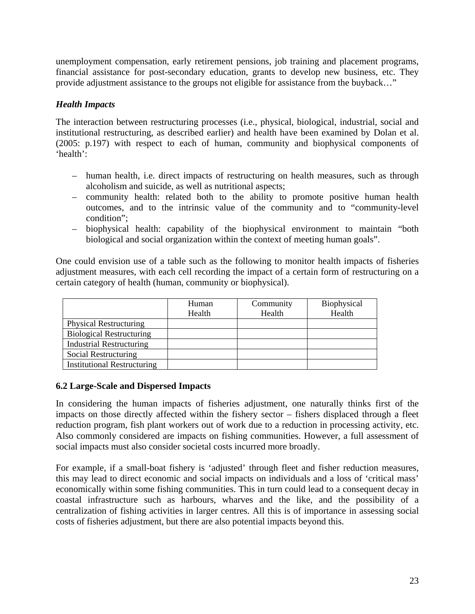unemployment compensation, early retirement pensions, job training and placement programs, financial assistance for post-secondary education, grants to develop new business, etc. They provide adjustment assistance to the groups not eligible for assistance from the buyback…"

# *Health Impacts*

The interaction between restructuring processes (i.e., physical, biological, industrial, social and institutional restructuring, as described earlier) and health have been examined by Dolan et al. (2005: p.197) with respect to each of human, community and biophysical components of 'health':

- human health, i.e. direct impacts of restructuring on health measures, such as through alcoholism and suicide, as well as nutritional aspects;
- community health: related both to the ability to promote positive human health outcomes, and to the intrinsic value of the community and to "community-level condition";
- biophysical health: capability of the biophysical environment to maintain "both biological and social organization within the context of meeting human goals".

One could envision use of a table such as the following to monitor health impacts of fisheries adjustment measures, with each cell recording the impact of a certain form of restructuring on a certain category of health (human, community or biophysical).

|                                    | Human<br>Health | Community<br>Health | Biophysical<br>Health |
|------------------------------------|-----------------|---------------------|-----------------------|
| <b>Physical Restructuring</b>      |                 |                     |                       |
| <b>Biological Restructuring</b>    |                 |                     |                       |
| <b>Industrial Restructuring</b>    |                 |                     |                       |
| Social Restructuring               |                 |                     |                       |
| <b>Institutional Restructuring</b> |                 |                     |                       |

## **6.2 Large-Scale and Dispersed Impacts**

In considering the human impacts of fisheries adjustment, one naturally thinks first of the impacts on those directly affected within the fishery sector – fishers displaced through a fleet reduction program, fish plant workers out of work due to a reduction in processing activity, etc. Also commonly considered are impacts on fishing communities. However, a full assessment of social impacts must also consider societal costs incurred more broadly.

For example, if a small-boat fishery is 'adjusted' through fleet and fisher reduction measures, this may lead to direct economic and social impacts on individuals and a loss of 'critical mass' economically within some fishing communities. This in turn could lead to a consequent decay in coastal infrastructure such as harbours, wharves and the like, and the possibility of a centralization of fishing activities in larger centres. All this is of importance in assessing social costs of fisheries adjustment, but there are also potential impacts beyond this.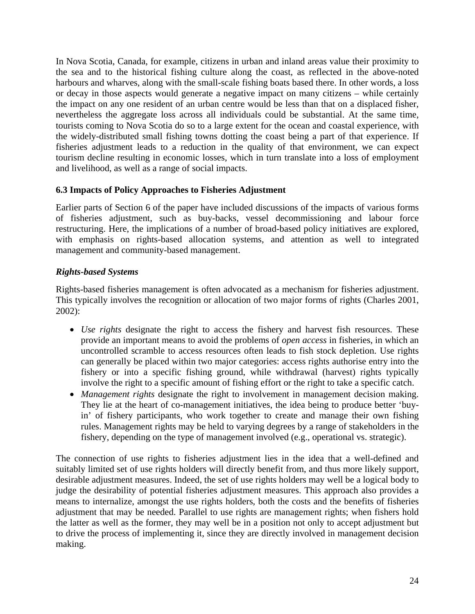In Nova Scotia, Canada, for example, citizens in urban and inland areas value their proximity to the sea and to the historical fishing culture along the coast, as reflected in the above-noted harbours and wharves, along with the small-scale fishing boats based there. In other words, a loss or decay in those aspects would generate a negative impact on many citizens – while certainly the impact on any one resident of an urban centre would be less than that on a displaced fisher, nevertheless the aggregate loss across all individuals could be substantial. At the same time, tourists coming to Nova Scotia do so to a large extent for the ocean and coastal experience, with the widely-distributed small fishing towns dotting the coast being a part of that experience. If fisheries adjustment leads to a reduction in the quality of that environment, we can expect tourism decline resulting in economic losses, which in turn translate into a loss of employment and livelihood, as well as a range of social impacts.

## **6.3 Impacts of Policy Approaches to Fisheries Adjustment**

Earlier parts of Section 6 of the paper have included discussions of the impacts of various forms of fisheries adjustment, such as buy-backs, vessel decommissioning and labour force restructuring. Here, the implications of a number of broad-based policy initiatives are explored, with emphasis on rights-based allocation systems, and attention as well to integrated management and community-based management.

# *Rights-based Systems*

Rights-based fisheries management is often advocated as a mechanism for fisheries adjustment. This typically involves the recognition or allocation of two major forms of rights (Charles 2001, 2002):

- *Use rights* designate the right to access the fishery and harvest fish resources. These provide an important means to avoid the problems of *open access* in fisheries, in which an uncontrolled scramble to access resources often leads to fish stock depletion. Use rights can generally be placed within two major categories: access rights authorise entry into the fishery or into a specific fishing ground, while withdrawal (harvest) rights typically involve the right to a specific amount of fishing effort or the right to take a specific catch.
- *Management rights* designate the right to involvement in management decision making. They lie at the heart of co-management initiatives, the idea being to produce better 'buyin' of fishery participants, who work together to create and manage their own fishing rules. Management rights may be held to varying degrees by a range of stakeholders in the fishery, depending on the type of management involved (e.g., operational vs. strategic).

The connection of use rights to fisheries adjustment lies in the idea that a well-defined and suitably limited set of use rights holders will directly benefit from, and thus more likely support, desirable adjustment measures. Indeed, the set of use rights holders may well be a logical body to judge the desirability of potential fisheries adjustment measures. This approach also provides a means to internalize, amongst the use rights holders, both the costs and the benefits of fisheries adjustment that may be needed. Parallel to use rights are management rights; when fishers hold the latter as well as the former, they may well be in a position not only to accept adjustment but to drive the process of implementing it, since they are directly involved in management decision making.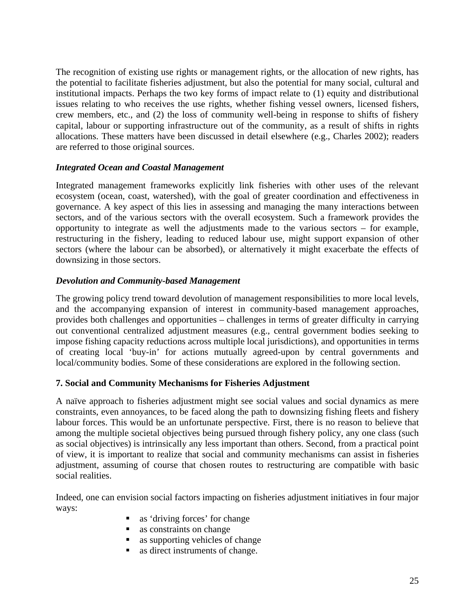The recognition of existing use rights or management rights, or the allocation of new rights, has the potential to facilitate fisheries adjustment, but also the potential for many social, cultural and institutional impacts. Perhaps the two key forms of impact relate to (1) equity and distributional issues relating to who receives the use rights, whether fishing vessel owners, licensed fishers, crew members, etc., and (2) the loss of community well-being in response to shifts of fishery capital, labour or supporting infrastructure out of the community, as a result of shifts in rights allocations. These matters have been discussed in detail elsewhere (e.g., Charles 2002); readers are referred to those original sources.

#### *Integrated Ocean and Coastal Management*

Integrated management frameworks explicitly link fisheries with other uses of the relevant ecosystem (ocean, coast, watershed), with the goal of greater coordination and effectiveness in governance. A key aspect of this lies in assessing and managing the many interactions between sectors, and of the various sectors with the overall ecosystem. Such a framework provides the opportunity to integrate as well the adjustments made to the various sectors – for example, restructuring in the fishery, leading to reduced labour use, might support expansion of other sectors (where the labour can be absorbed), or alternatively it might exacerbate the effects of downsizing in those sectors.

#### *Devolution and Community-based Management*

The growing policy trend toward devolution of management responsibilities to more local levels, and the accompanying expansion of interest in community-based management approaches, provides both challenges and opportunities – challenges in terms of greater difficulty in carrying out conventional centralized adjustment measures (e.g., central government bodies seeking to impose fishing capacity reductions across multiple local jurisdictions), and opportunities in terms of creating local 'buy-in' for actions mutually agreed-upon by central governments and local/community bodies. Some of these considerations are explored in the following section.

## **7. Social and Community Mechanisms for Fisheries Adjustment**

A naïve approach to fisheries adjustment might see social values and social dynamics as mere constraints, even annoyances, to be faced along the path to downsizing fishing fleets and fishery labour forces. This would be an unfortunate perspective. First, there is no reason to believe that among the multiple societal objectives being pursued through fishery policy, any one class (such as social objectives) is intrinsically any less important than others. Second, from a practical point of view, it is important to realize that social and community mechanisms can assist in fisheries adjustment, assuming of course that chosen routes to restructuring are compatible with basic social realities.

Indeed, one can envision social factors impacting on fisheries adjustment initiatives in four major ways:

- as 'driving forces' for change
- **a** as constraints on change
- **a** as supporting vehicles of change
- as direct instruments of change.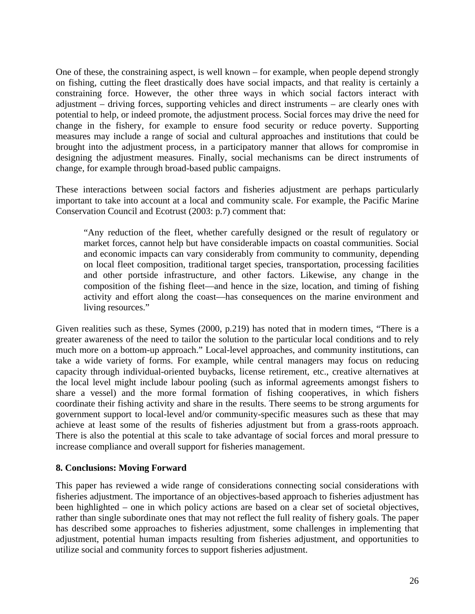One of these, the constraining aspect, is well known – for example, when people depend strongly on fishing, cutting the fleet drastically does have social impacts, and that reality is certainly a constraining force. However, the other three ways in which social factors interact with adjustment – driving forces, supporting vehicles and direct instruments – are clearly ones with potential to help, or indeed promote, the adjustment process. Social forces may drive the need for change in the fishery, for example to ensure food security or reduce poverty. Supporting measures may include a range of social and cultural approaches and institutions that could be brought into the adjustment process, in a participatory manner that allows for compromise in designing the adjustment measures. Finally, social mechanisms can be direct instruments of change, for example through broad-based public campaigns.

These interactions between social factors and fisheries adjustment are perhaps particularly important to take into account at a local and community scale. For example, the Pacific Marine Conservation Council and Ecotrust (2003: p.7) comment that:

"Any reduction of the fleet, whether carefully designed or the result of regulatory or market forces, cannot help but have considerable impacts on coastal communities. Social and economic impacts can vary considerably from community to community, depending on local fleet composition, traditional target species, transportation, processing facilities and other portside infrastructure, and other factors. Likewise, any change in the composition of the fishing fleet—and hence in the size, location, and timing of fishing activity and effort along the coast—has consequences on the marine environment and living resources."

Given realities such as these, Symes (2000, p.219) has noted that in modern times, "There is a greater awareness of the need to tailor the solution to the particular local conditions and to rely much more on a bottom-up approach." Local-level approaches, and community institutions, can take a wide variety of forms. For example, while central managers may focus on reducing capacity through individual-oriented buybacks, license retirement, etc., creative alternatives at the local level might include labour pooling (such as informal agreements amongst fishers to share a vessel) and the more formal formation of fishing cooperatives, in which fishers coordinate their fishing activity and share in the results. There seems to be strong arguments for government support to local-level and/or community-specific measures such as these that may achieve at least some of the results of fisheries adjustment but from a grass-roots approach. There is also the potential at this scale to take advantage of social forces and moral pressure to increase compliance and overall support for fisheries management.

#### **8. Conclusions: Moving Forward**

This paper has reviewed a wide range of considerations connecting social considerations with fisheries adjustment. The importance of an objectives-based approach to fisheries adjustment has been highlighted – one in which policy actions are based on a clear set of societal objectives, rather than single subordinate ones that may not reflect the full reality of fishery goals. The paper has described some approaches to fisheries adjustment, some challenges in implementing that adjustment, potential human impacts resulting from fisheries adjustment, and opportunities to utilize social and community forces to support fisheries adjustment.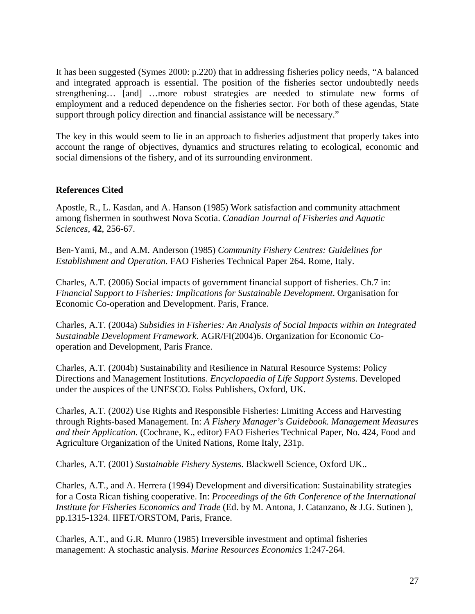It has been suggested (Symes 2000: p.220) that in addressing fisheries policy needs, "A balanced and integrated approach is essential. The position of the fisheries sector undoubtedly needs strengthening… [and] …more robust strategies are needed to stimulate new forms of employment and a reduced dependence on the fisheries sector. For both of these agendas, State support through policy direction and financial assistance will be necessary."

The key in this would seem to lie in an approach to fisheries adjustment that properly takes into account the range of objectives, dynamics and structures relating to ecological, economic and social dimensions of the fishery, and of its surrounding environment.

#### **References Cited**

Apostle, R., L. Kasdan, and A. Hanson (1985) Work satisfaction and community attachment among fishermen in southwest Nova Scotia. *Canadian Journal of Fisheries and Aquatic Sciences*, **42**, 256-67.

Ben-Yami, M., and A.M. Anderson (1985) *Community Fishery Centres: Guidelines for Establishment and Operation*. FAO Fisheries Technical Paper 264. Rome, Italy.

Charles, A.T. (2006) Social impacts of government financial support of fisheries. Ch.7 in: *Financial Support to Fisheries: Implications for Sustainable Development*. Organisation for Economic Co-operation and Development. Paris, France.

Charles, A.T. (2004a) *Subsidies in Fisheries: An Analysis of Social Impacts within an Integrated Sustainable Development Framework*. AGR/FI(2004)6. Organization for Economic Cooperation and Development, Paris France.

Charles, A.T. (2004b) Sustainability and Resilience in Natural Resource Systems: Policy Directions and Management Institutions. *Encyclopaedia of Life Support Systems*. Developed under the auspices of the UNESCO. Eolss Publishers, Oxford, UK.

Charles, A.T. (2002) Use Rights and Responsible Fisheries: Limiting Access and Harvesting through Rights-based Management. In: *A Fishery Manager's Guidebook. Management Measures and their Application*. (Cochrane, K., editor) FAO Fisheries Technical Paper, No. 424, Food and Agriculture Organization of the United Nations, Rome Italy, 231p.

Charles, A.T. (2001) *Sustainable Fishery Systems*. Blackwell Science, Oxford UK..

Charles, A.T., and A. Herrera (1994) Development and diversification: Sustainability strategies for a Costa Rican fishing cooperative. In: *Proceedings of the 6th Conference of the International Institute for Fisheries Economics and Trade* (Ed. by M. Antona, J. Catanzano, & J.G. Sutinen ), pp.1315-1324. IIFET/ORSTOM, Paris, France.

Charles, A.T., and G.R. Munro (1985) Irreversible investment and optimal fisheries management: A stochastic analysis. *Marine Resources Economics* 1:247-264.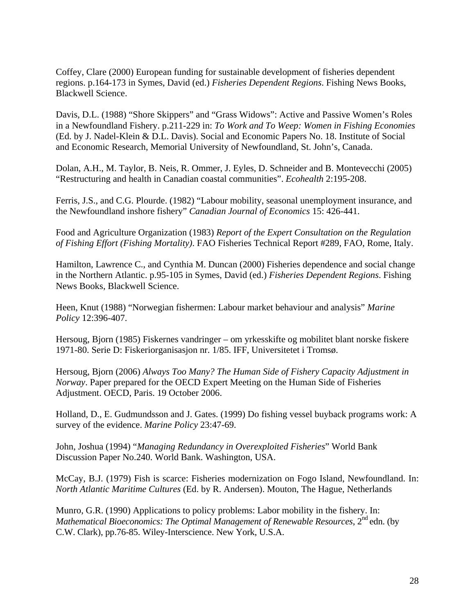Coffey, Clare (2000) European funding for sustainable development of fisheries dependent regions. p.164-173 in Symes, David (ed.) *Fisheries Dependent Regions*. Fishing News Books, Blackwell Science.

Davis, D.L. (1988) "Shore Skippers" and "Grass Widows": Active and Passive Women's Roles in a Newfoundland Fishery. p.211-229 in: *To Work and To Weep: Women in Fishing Economies* (Ed. by J. Nadel-Klein & D.L. Davis). Social and Economic Papers No. 18. Institute of Social and Economic Research, Memorial University of Newfoundland, St. John's, Canada.

Dolan, A.H., M. Taylor, B. Neis, R. Ommer, J. Eyles, D. Schneider and B. Montevecchi (2005) "Restructuring and health in Canadian coastal communities". *Ecohealth* 2:195-208.

Ferris, J.S., and C.G. Plourde. (1982) "Labour mobility, seasonal unemployment insurance, and the Newfoundland inshore fishery" *Canadian Journal of Economics* 15: 426-441.

Food and Agriculture Organization (1983) *Report of the Expert Consultation on the Regulation of Fishing Effort (Fishing Mortality)*. FAO Fisheries Technical Report #289, FAO, Rome, Italy.

Hamilton, Lawrence C., and Cynthia M. Duncan (2000) Fisheries dependence and social change in the Northern Atlantic. p.95-105 in Symes, David (ed.) *Fisheries Dependent Regions*. Fishing News Books, Blackwell Science.

Heen, Knut (1988) "Norwegian fishermen: Labour market behaviour and analysis" *Marine Policy* 12:396-407.

Hersoug, Bjorn (1985) Fiskernes vandringer – om yrkesskifte og mobilitet blant norske fiskere 1971-80. Serie D: Fiskeriorganisasjon nr. 1/85. IFF, Universitetet i Tromsø.

Hersoug, Bjorn (2006) *Always Too Many? The Human Side of Fishery Capacity Adjustment in Norway*. Paper prepared for the OECD Expert Meeting on the Human Side of Fisheries Adjustment. OECD, Paris. 19 October 2006.

Holland, D., E. Gudmundsson and J. Gates. (1999) Do fishing vessel buyback programs work: A survey of the evidence. *Marine Policy* 23:47-69.

John, Joshua (1994) "*Managing Redundancy in Overexploited Fisheries*" World Bank Discussion Paper No.240. World Bank. Washington, USA.

McCay, B.J. (1979) Fish is scarce: Fisheries modernization on Fogo Island, Newfoundland. In: *North Atlantic Maritime Cultures* (Ed. by R. Andersen). Mouton, The Hague, Netherlands

Munro, G.R. (1990) Applications to policy problems: Labor mobility in the fishery. In: *Mathematical Bioeconomics: The Optimal Management of Renewable Resources,* 2<sup>nd</sup> edn. (by C.W. Clark), pp.76-85. Wiley-Interscience. New York, U.S.A.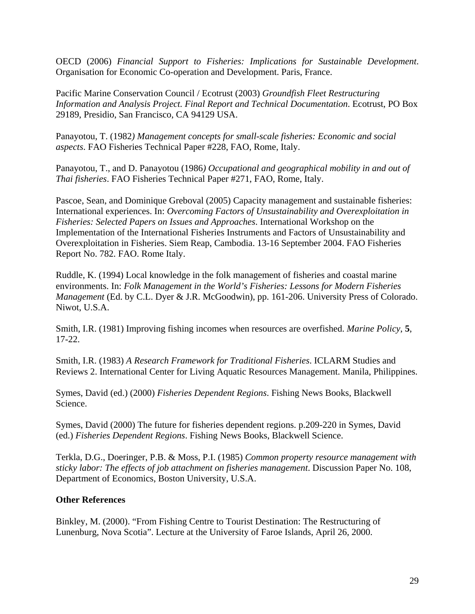OECD (2006) *Financial Support to Fisheries: Implications for Sustainable Development*. Organisation for Economic Co-operation and Development. Paris, France.

Pacific Marine Conservation Council / Ecotrust (2003) *Groundfish Fleet Restructuring Information and Analysis Project. Final Report and Technical Documentation*. Ecotrust, PO Box 29189, Presidio, San Francisco, CA 94129 USA.

Panayotou, T. (1982*) Management concepts for small-scale fisheries: Economic and social aspects*. FAO Fisheries Technical Paper #228, FAO, Rome, Italy.

Panayotou, T., and D. Panayotou (1986*) Occupational and geographical mobility in and out of Thai fisheries*. FAO Fisheries Technical Paper #271, FAO, Rome, Italy.

Pascoe, Sean, and Dominique Greboval (2005) Capacity management and sustainable fisheries: International experiences. In: *Overcoming Factors of Unsustainability and Overexploitation in Fisheries: Selected Papers on Issues and Approaches*. International Workshop on the Implementation of the International Fisheries Instruments and Factors of Unsustainability and Overexploitation in Fisheries. Siem Reap, Cambodia. 13-16 September 2004. FAO Fisheries Report No. 782. FAO. Rome Italy.

Ruddle, K. (1994) Local knowledge in the folk management of fisheries and coastal marine environments. In: *Folk Management in the World's Fisheries: Lessons for Modern Fisheries Management* (Ed. by C.L. Dyer & J.R. McGoodwin), pp. 161-206. University Press of Colorado. Niwot, U.S.A.

Smith, I.R. (1981) Improving fishing incomes when resources are overfished. *Marine Policy*, **5**, 17-22.

Smith, I.R. (1983) *A Research Framework for Traditional Fisheries*. ICLARM Studies and Reviews 2. International Center for Living Aquatic Resources Management. Manila, Philippines.

Symes, David (ed.) (2000) *Fisheries Dependent Regions*. Fishing News Books, Blackwell Science.

Symes, David (2000) The future for fisheries dependent regions. p.209-220 in Symes, David (ed.) *Fisheries Dependent Regions*. Fishing News Books, Blackwell Science.

Terkla, D.G., Doeringer, P.B. & Moss, P.I. (1985) *Common property resource management with sticky labor: The effects of job attachment on fisheries management*. Discussion Paper No. 108, Department of Economics, Boston University, U.S.A.

## **Other References**

Binkley, M. (2000). "From Fishing Centre to Tourist Destination: The Restructuring of Lunenburg, Nova Scotia". Lecture at the University of Faroe Islands, April 26, 2000.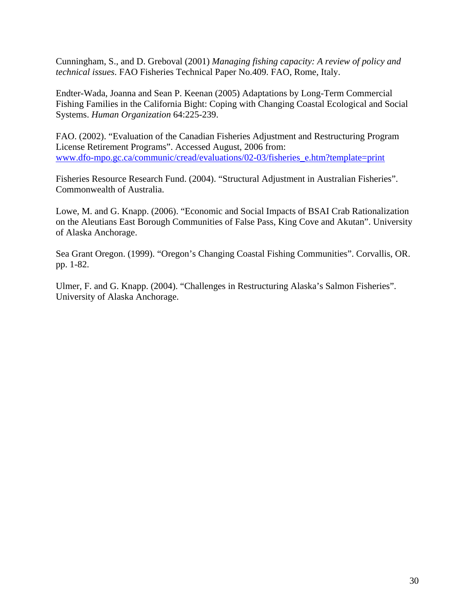Cunningham, S., and D. Greboval (2001) *Managing fishing capacity: A review of policy and technical issues*. FAO Fisheries Technical Paper No.409. FAO, Rome, Italy.

Endter-Wada, Joanna and Sean P. Keenan (2005) Adaptations by Long-Term Commercial Fishing Families in the California Bight: Coping with Changing Coastal Ecological and Social Systems. *Human Organization* 64:225-239.

FAO. (2002). "Evaluation of the Canadian Fisheries Adjustment and Restructuring Program License Retirement Programs". Accessed August, 2006 from: www.dfo-mpo.gc.ca/communic/cread/evaluations/02-03/fisheries\_e.htm?template=print

Fisheries Resource Research Fund. (2004). "Structural Adjustment in Australian Fisheries". Commonwealth of Australia.

Lowe, M. and G. Knapp. (2006). "Economic and Social Impacts of BSAI Crab Rationalization on the Aleutians East Borough Communities of False Pass, King Cove and Akutan". University of Alaska Anchorage.

Sea Grant Oregon. (1999). "Oregon's Changing Coastal Fishing Communities". Corvallis, OR. pp. 1-82.

Ulmer, F. and G. Knapp. (2004). "Challenges in Restructuring Alaska's Salmon Fisheries". University of Alaska Anchorage.